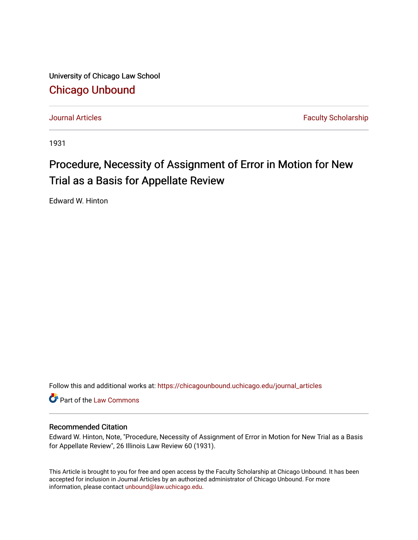University of Chicago Law School [Chicago Unbound](https://chicagounbound.uchicago.edu/)

[Journal Articles](https://chicagounbound.uchicago.edu/journal_articles) **Faculty Scholarship Journal Articles** 

1931

## Procedure, Necessity of Assignment of Error in Motion for New Trial as a Basis for Appellate Review

Edward W. Hinton

Follow this and additional works at: [https://chicagounbound.uchicago.edu/journal\\_articles](https://chicagounbound.uchicago.edu/journal_articles?utm_source=chicagounbound.uchicago.edu%2Fjournal_articles%2F9316&utm_medium=PDF&utm_campaign=PDFCoverPages) 

Part of the [Law Commons](http://network.bepress.com/hgg/discipline/578?utm_source=chicagounbound.uchicago.edu%2Fjournal_articles%2F9316&utm_medium=PDF&utm_campaign=PDFCoverPages)

## Recommended Citation

Edward W. Hinton, Note, "Procedure, Necessity of Assignment of Error in Motion for New Trial as a Basis for Appellate Review", 26 Illinois Law Review 60 (1931).

This Article is brought to you for free and open access by the Faculty Scholarship at Chicago Unbound. It has been accepted for inclusion in Journal Articles by an authorized administrator of Chicago Unbound. For more information, please contact [unbound@law.uchicago.edu](mailto:unbound@law.uchicago.edu).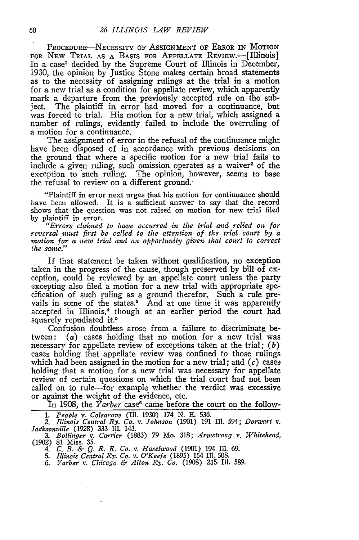PROCEDURE-NECESSITY OF ASSIGNMENT OF ERROR IN MOTION FOR NEW TRIAL AS A BASIS FOR APPELLATE REVIEW.<sup>---</sup>[Illinois] In a case' decided by the Supreme Court of Illinois in December, 1930, the opinion by Justice Stone makes certain broad statements as to the necessity of assigning rulings at the trial in a motion for a new trial as a condition for appellate review, which apparently mark a departure from the previously accepted rule on the subject. The plaintiff in error had moved for a continuance, but was forced to trial. His motion for a new trial, which assigned a number of rulings, evidently failed to include the overruling of a motion for a continuance.

The assignment of error in the refusal of the continuance might have been disposed of in accordance with previous decisions on the ground that where a specific motion for a new trial fails to include a given ruling, such omission operates as a waiver<sup>2</sup> of the exception to 'such ruling. The opinion, however, seems to base the refusal to review on a different ground.

"Plaintiff in error next urges that his motion for continuance should have been allowed. It is a sufficient answer to say that the record shows that the question was not raised on motion for new trial filed by plaintiff in error.

*"Errors claimed to have occurred in the trial and relied on for reversal must first be called to the attention of the trial court by a nwtion, for a new trial and an opportunity given that court to correct the same."*

If that statement be taken without qualification, no exception taken in the progress of the cause, though preserved by bill of exception, could be reviewed by an appellate court unless the party excepting also filed a motion for a new trial with appropriate specification of such ruling as a ground therefor. Such a rule prevails in some of the states.<sup>8</sup> And at one time it was apparently accepted in Illinois,<sup>4</sup> though at an earlier period the court had squarely repudiated it.<sup>5</sup>

Confusion doubtless arose from a failure to discriminate between: *(a)* cases holding that no motion for a new trial was necessary for appellate review of exceptions taken at the trial; *(b)* cases holding that appellate review was confined to those rulings which had been assigned in the motion for a new trial; and  $(c)$  cases holding that a motion for a new trial was necessary for appellate review of certain questions on which the trial court had not been called on to rule-for example whether the verdict was excessive or against the weight of the evidence, etc.

In 1908, the *Yarber* case<sup>6</sup> came before the court on the follow-

*1. People v. Colegrove* (Ill. 1930) 174 **N. E.** 536.

*2. Illinois Central Ry. Co. v. Johnson* (1901) 191 Ill. 594; *Dorwart v. Jaeksonville (1928)* 333 Ill. 143.

3. *Bollinger v. Carrier* (1883) 79 Mo. 318; *Armstrong v. Whitehead,* (1902) 81 Miss. 35. *4. C. B. & Q. R. R. Co. v. Haselwood* (1901) 194 II. 69. 5. *Illinois Central Ry. Co. v. O'Keefe* (1895) 154 Ili. 508.

*6. Yarber v. Chicago & Alton Ry. Co.* (1908) **235** Ill. 589.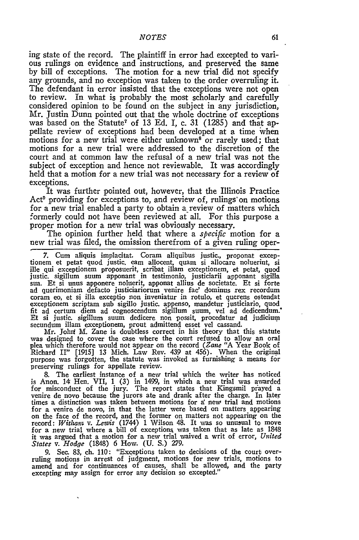ing state of the record. The plaintiff in error had excepted to various rulings on evidence and instructions, and preserved the same by bill of exceptions. The motion for a new trial did not specify any grounds, and no exception was taken to the order overruling it. The defendant in error insisted that the exceptions were not open to review. In what is probably the most scholarly and carefully considered opinion to be found on the subject in any jurisdiction, Mr. Justin Dunn pointed out that the whole doctrine of exceptions was based on the Statute<sup>7</sup> of 13 Ed. I, c. 31 (1285) and that appellate review of exceptions had been developed at a time when motions for a new trial were either unknown<sup>8</sup> or rarely used; that motions for a new trial were addressed to the discretion of the court and at common law the refusal of a new trial was not the subject of exception and hence not reviewable. It was accordingly held that a motion for a new trial was not necessary for a review of exceptions.

It was further pointed out, however, that the Illinois Practice Act<sup>®</sup> providing for exceptions to, and review of, rulings on motions for a new trial enabled a party to obtain a review of matters which formerly could not have been reviewed at all. For this purpose a proper motion for a new trial was obviously necessary.

The opinion further held that where a *specific* motion for a new trial was filed, the omission therefrom of a given ruling oper-

7. Cum aliquis implacitat. Coram aliquibus justic., proponat exceptionem et petat quod justic. earn allocent, quam si allocare noluerint, si ille qui exceptionem proposuerit, scribat illam exceptionem, et petat, quod<br>justic. sigillum suum apponant in testimonio, justiciarii apponant sigilla<br>sua. Et si unus apponere noluerit, apponat allius de societate. Et si f ad querimoniam defacto justiciariorum venire fac' dominus rex recordum coram eo, et si illa exceptio non inveniatur in rotulo, et querens ostendat exceptionem scriptam sub sigillo justic. appenso, mandetur justiciario, quod fit ad certum diem ad cognoscendum sigillum suum, vel ad dedicendum. Et si justic. sigillum suum dedicere non possit, procedatur ad judicium secundum illam exceptionem, prout admittend esset vel cassand. Mr. John M. Zane is doubtless correct in his theory that this statute

Mr. Johri M. Zane is doubtless correct in his theory that this statute was designed to cover the case where the court refused to allow an oral plea which therefore would not appear on the record *(Zane* "A Year Book of Richard II" [1915] 13 Mich. Law Rev. 439 at 456). When the original purpose was forgotten, the statute was invoked as furnishing a means for preserving rulings for appellate review.

8. The earliest instance of a new trial which the writer has noticed is Anon. 14 Hen. VII, 1 (3) in 1499, in which a new trial was awarded for misconduct of the jury. The report states that Kingsmil piayed a venire de novo because the jurors ate and drank after the charge. In later times a distinction was taken between motions for a new trial and motions for a venire de novo, in that the latter were based on matters appearing on the face of the record, and the former on matters not appearing on the record: *Withant v. Lewis* (1744) 1 Wilson 48. It was so unusual to move for a new trial where a bill of exceptions was taken that as late as 1848 it was argued that a motion for a new trial waived a writ of error, *United States v. Hodge* (1848) **6** How. **(U.** S.) **279.**

9. Sec. 83, ch. 110: "Exceptions taken to decisions of the court over- ruling motions in arrest of judgment, motions for new trials, motions to amend and for continuances of causes, shall be allowed, and the party excepting may assign for error any decision so excepted."